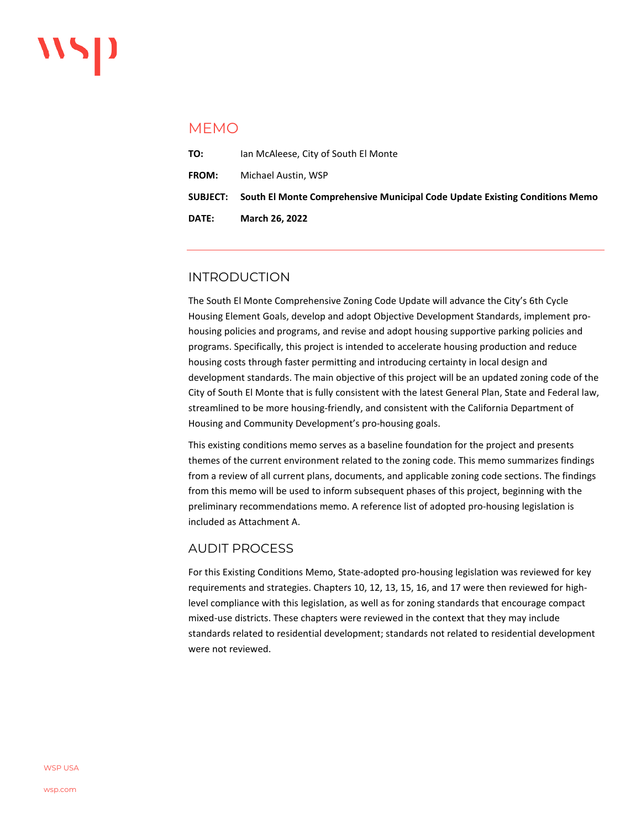## MEMO

| DATE:        | <b>March 26, 2022</b>                                                                 |
|--------------|---------------------------------------------------------------------------------------|
|              | SUBJECT:  South El Monte Comprehensive Municipal Code Update Existing Conditions Memo |
| <b>FROM:</b> | Michael Austin, WSP                                                                   |
| TO:          | Ian McAleese, City of South El Monte                                                  |

## INTRODUCTION

The South El Monte Comprehensive Zoning Code Update will advance the City's 6th Cycle Housing Element Goals, develop and adopt Objective Development Standards, implement prohousing policies and programs, and revise and adopt housing supportive parking policies and programs. Specifically, this project is intended to accelerate housing production and reduce housing costs through faster permitting and introducing certainty in local design and development standards. The main objective of this project will be an updated zoning code of the City of South El Monte that is fully consistent with the latest General Plan, State and Federal law, streamlined to be more housing-friendly, and consistent with the California Department of Housing and Community Development's pro-housing goals.

This existing conditions memo serves as a baseline foundation for the project and presents themes of the current environment related to the zoning code. This memo summarizes findings from a review of all current plans, documents, and applicable zoning code sections. The findings from this memo will be used to inform subsequent phases of this project, beginning with the preliminary recommendations memo. A reference list of adopted pro-housing legislation is included as Attachment A.

### AUDIT PROCESS

For this Existing Conditions Memo, State-adopted pro-housing legislation was reviewed for key requirements and strategies. Chapters 10, 12, 13, 15, 16, and 17 were then reviewed for highlevel compliance with this legislation, as well as for zoning standards that encourage compact mixed-use districts. These chapters were reviewed in the context that they may include standards related to residential development; standards not related to residential development were not reviewed.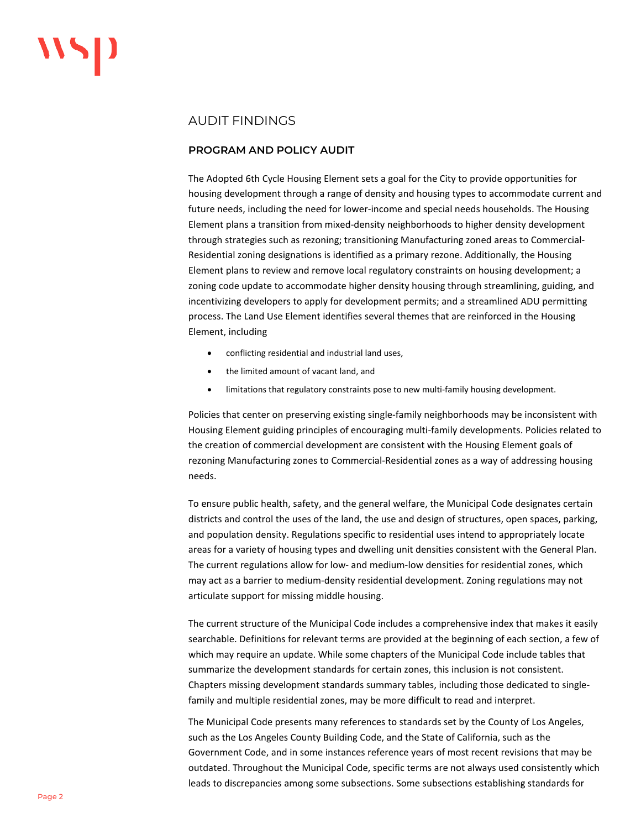## AUDIT FINDINGS

### **PROGRAM AND POLICY AUDIT**

The Adopted 6th Cycle Housing Element sets a goal for the City to provide opportunities for housing development through a range of density and housing types to accommodate current and future needs, including the need for lower-income and special needs households. The Housing Element plans a transition from mixed-density neighborhoods to higher density development through strategies such as rezoning; transitioning Manufacturing zoned areas to Commercial-Residential zoning designations is identified as a primary rezone. Additionally, the Housing Element plans to review and remove local regulatory constraints on housing development; a zoning code update to accommodate higher density housing through streamlining, guiding, and incentivizing developers to apply for development permits; and a streamlined ADU permitting process. The Land Use Element identifies several themes that are reinforced in the Housing Element, including

- conflicting residential and industrial land uses,
- the limited amount of vacant land, and
- limitations that regulatory constraints pose to new multi-family housing development.

Policies that center on preserving existing single-family neighborhoods may be inconsistent with Housing Element guiding principles of encouraging multi-family developments. Policies related to the creation of commercial development are consistent with the Housing Element goals of rezoning Manufacturing zones to Commercial-Residential zones as a way of addressing housing needs.

To ensure public health, safety, and the general welfare, the Municipal Code designates certain districts and control the uses of the land, the use and design of structures, open spaces, parking, and population density. Regulations specific to residential uses intend to appropriately locate areas for a variety of housing types and dwelling unit densities consistent with the General Plan. The current regulations allow for low- and medium-low densities for residential zones, which may act as a barrier to medium-density residential development. Zoning regulations may not articulate support for missing middle housing.

The current structure of the Municipal Code includes a comprehensive index that makes it easily searchable. Definitions for relevant terms are provided at the beginning of each section, a few of which may require an update. While some chapters of the Municipal Code include tables that summarize the development standards for certain zones, this inclusion is not consistent. Chapters missing development standards summary tables, including those dedicated to singlefamily and multiple residential zones, may be more difficult to read and interpret.

The Municipal Code presents many references to standards set by the County of Los Angeles, such as the Los Angeles County Building Code, and the State of California, such as the Government Code, and in some instances reference years of most recent revisions that may be outdated. Throughout the Municipal Code, specific terms are not always used consistently which leads to discrepancies among some subsections. Some subsections establishing standards for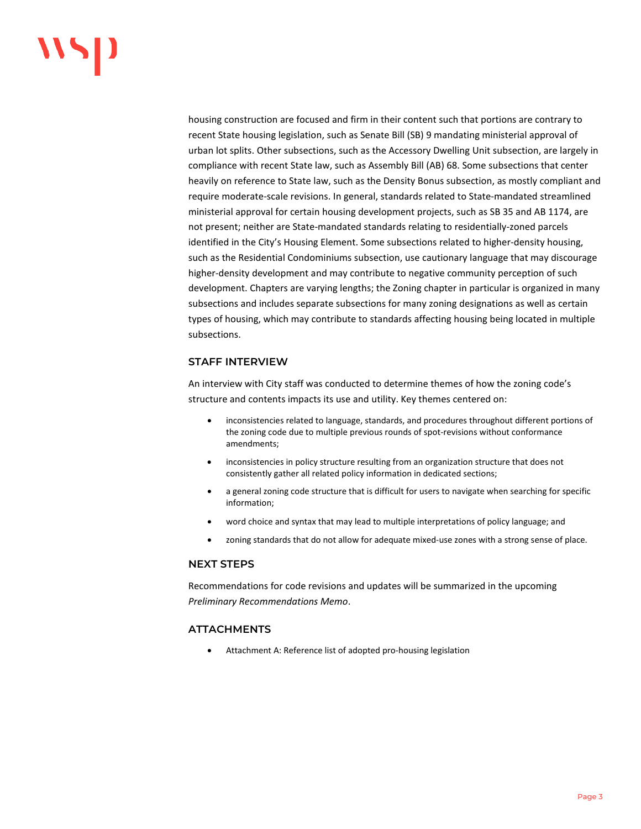# "

housing construction are focused and firm in their content such that portions are contrary to recent State housing legislation, such as Senate Bill (SB) 9 mandating ministerial approval of urban lot splits. Other subsections, such as the Accessory Dwelling Unit subsection, are largely in compliance with recent State law, such as Assembly Bill (AB) 68. Some subsections that center heavily on reference to State law, such as the Density Bonus subsection, as mostly compliant and require moderate-scale revisions. In general, standards related to State-mandated streamlined ministerial approval for certain housing development projects, such as SB 35 and AB 1174, are not present; neither are State-mandated standards relating to residentially-zoned parcels identified in the City's Housing Element. Some subsections related to higher-density housing, such as the Residential Condominiums subsection, use cautionary language that may discourage higher-density development and may contribute to negative community perception of such development. Chapters are varying lengths; the Zoning chapter in particular is organized in many subsections and includes separate subsections for many zoning designations as well as certain types of housing, which may contribute to standards affecting housing being located in multiple subsections.

### **STAFF INTERVIEW**

An interview with City staff was conducted to determine themes of how the zoning code's structure and contents impacts its use and utility. Key themes centered on:

- inconsistencies related to language, standards, and procedures throughout different portions of the zoning code due to multiple previous rounds of spot-revisions without conformance amendments;
- inconsistencies in policy structure resulting from an organization structure that does not consistently gather all related policy information in dedicated sections;
- a general zoning code structure that is difficult for users to navigate when searching for specific information;
- word choice and syntax that may lead to multiple interpretations of policy language; and
- zoning standards that do not allow for adequate mixed-use zones with a strong sense of place.

#### **NEXT STEPS**

Recommendations for code revisions and updates will be summarized in the upcoming *Preliminary Recommendations Memo*.

### **ATTACHMENTS**

• Attachment A: Reference list of adopted pro-housing legislation